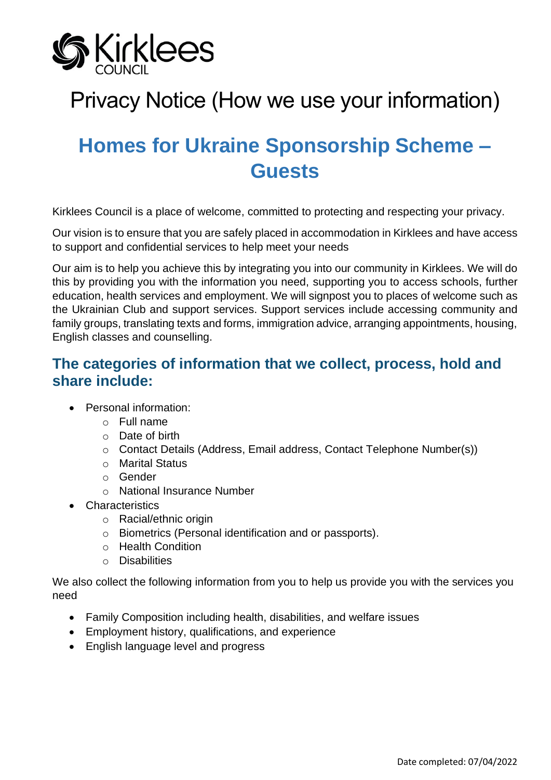

# Privacy Notice (How we use your information)

# **Homes for Ukraine Sponsorship Scheme – Guests**

Kirklees Council is a place of welcome, committed to protecting and respecting your privacy.

Our vision is to ensure that you are safely placed in accommodation in Kirklees and have access to support and confidential services to help meet your needs

Our aim is to help you achieve this by integrating you into our community in Kirklees. We will do this by providing you with the information you need, supporting you to access schools, further education, health services and employment. We will signpost you to places of welcome such as the Ukrainian Club and support services. Support services include accessing community and family groups, translating texts and forms, immigration advice, arranging appointments, housing, English classes and counselling.

## **The categories of information that we collect, process, hold and share include:**

- Personal information:
	- $\circ$  Full name
	- o Date of birth
	- o Contact Details (Address, Email address, Contact Telephone Number(s))
	- o Marital Status
	- o Gender
	- o National Insurance Number
- Characteristics
	- o Racial/ethnic origin
	- o Biometrics (Personal identification and or passports).
	- o Health Condition
	- o Disabilities

We also collect the following information from you to help us provide you with the services you need

- Family Composition including health, disabilities, and welfare issues
- Employment history, qualifications, and experience
- English language level and progress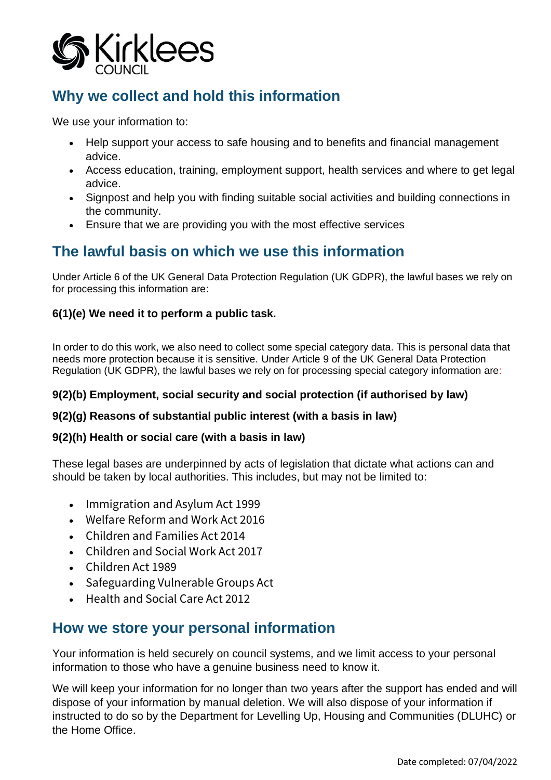

## **Why we collect and hold this information**

We use your information to:

- Help support your access to safe housing and to benefits and financial management advice.
- Access education, training, employment support, health services and where to get legal advice.
- Signpost and help you with finding suitable social activities and building connections in the community.
- Ensure that we are providing you with the most effective services

### **The lawful basis on which we use this information**

Under Article 6 of the UK General Data Protection Regulation (UK GDPR), the lawful bases we rely on for processing this information are:

#### **6(1)(e) We need it to perform a public task.**

In order to do this work, we also need to collect some special category data. This is personal data that needs more protection because it is sensitive. Under Article 9 of the UK General Data Protection Regulation (UK GDPR), the lawful bases we rely on for processing special category information are:

#### **9(2)(b) Employment, social security and social protection (if authorised by law)**

#### **9(2)(g) Reasons of substantial public interest (with a basis in law)**

#### **9(2)(h) Health or social care (with a basis in law)**

These legal bases are underpinned by acts of legislation that dictate what actions can and should be taken by local authorities. This includes, but may not be limited to:

- [Immigration and Asylum Act 1999](https://www.legislation.gov.uk/ukpga/1999/33/contents)
- [Welfare Reform and Work Act 2016](https://www.legislation.gov.uk/ukpga/2016/7/contents)
- [Children and Families Act 2014](https://www.legislation.gov.uk/ukpga/2014/6/contents/enacted)
- [Children and Social Work Act 2017](https://www.legislation.gov.uk/ukpga/2017/16/contents/enacted)
- [Children Act 1989](https://www.legislation.gov.uk/ukpga/1989/41/contents)
- [Safeguarding Vulnerable Groups Act](https://www.legislation.gov.uk/ukpga/2006/47/contents)
- [Health and Social Care Act 2012](https://www.legislation.gov.uk/ukpga/2012/7/contents)

### **How we store your personal information**

Your information is held securely on council systems, and we limit access to your personal information to those who have a genuine business need to know it.

We will keep your information for no longer than two years after the support has ended and will dispose of your information by manual deletion. We will also dispose of your information if instructed to do so by the Department for Levelling Up, Housing and Communities (DLUHC) or the Home Office.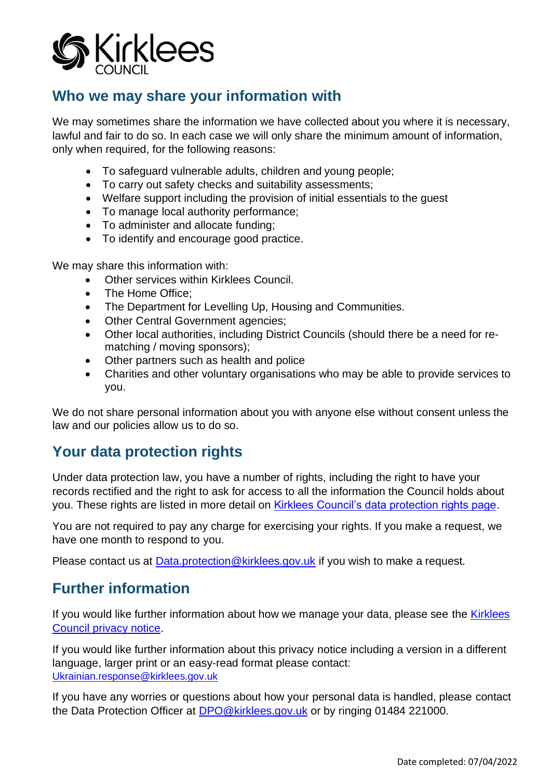

## **Who we may share your information with**

We may sometimes share the information we have collected about you where it is necessary, lawful and fair to do so. In each case we will only share the minimum amount of information, only when required, for the following reasons:

- To safeguard vulnerable adults, children and young people;
- To carry out safety checks and suitability assessments;
- Welfare support including the provision of initial essentials to the guest
- To manage local authority performance;
- To administer and allocate funding;
- To identify and encourage good practice.

We may share this information with:

- Other services within Kirklees Council.
- The Home Office;
- The Department for Levelling Up, Housing and Communities.
- Other Central Government agencies;
- Other local authorities, including District Councils (should there be a need for rematching / moving sponsors);
- Other partners such as health and police
- Charities and other voluntary organisations who may be able to provide services to you.

We do not share personal information about you with anyone else without consent unless the law and our policies allow us to do so.

## **Your data protection rights**

Under data protection law, you have a number of rights, including the right to have your records rectified and the right to ask for access to all the information the Council holds about you. These rights are listed in more detail on [Kirklees Council's data protection rights page.](https://www.kirklees.gov.uk/beta/information-and-data/general-data-protection-regulation.aspx)

You are not required to pay any charge for exercising your rights. If you make a request, we have one month to respond to you.

Please contact us at **Data.protection@kirklees.gov.uk** if you wish to make a request.

## **Further information**

If you would like further information about how we manage your data, please see the [Kirklees](https://www.kirklees.gov.uk/beta/information-and-data/how-we-use-your-data.aspx)  [Council privacy notice.](https://www.kirklees.gov.uk/beta/information-and-data/how-we-use-your-data.aspx)

If you would like further information about this privacy notice including a version in a different language, larger print or an easy-read format please contact: [Ukrainian.response@kirklees.gov.uk](mailto:Ukrainian.response@kirklees.gov.uk)

If you have any worries or questions about how your personal data is handled, please contact the Data Protection Officer at [DPO@kirklees.gov.uk](mailto:DPO@kirklees.gov.uk) or by ringing 01484 221000.